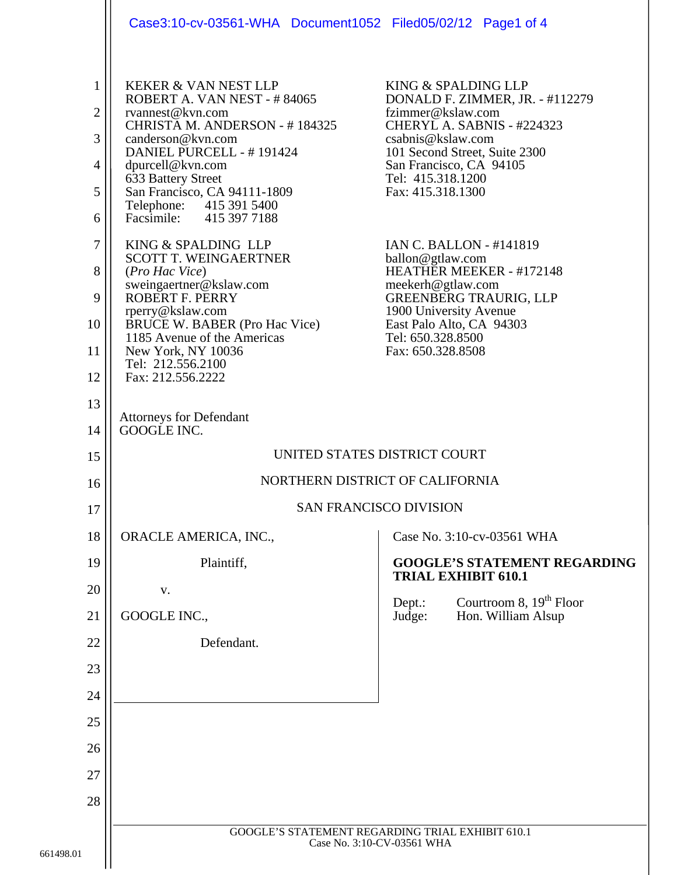|                                                                    | Case3:10-cv-03561-WHA Document1052 Filed05/02/12 Page1 of 4                                                                                                                                                                                                                                                                                                                                                                                                                                                                                                       |                                                                                                                                                                                                                                                                                                                                                                                                                                                                              |
|--------------------------------------------------------------------|-------------------------------------------------------------------------------------------------------------------------------------------------------------------------------------------------------------------------------------------------------------------------------------------------------------------------------------------------------------------------------------------------------------------------------------------------------------------------------------------------------------------------------------------------------------------|------------------------------------------------------------------------------------------------------------------------------------------------------------------------------------------------------------------------------------------------------------------------------------------------------------------------------------------------------------------------------------------------------------------------------------------------------------------------------|
| 1<br>$\overline{2}$<br>3<br>4<br>5<br>6<br>7<br>8<br>9<br>10<br>11 | <b>KEKER &amp; VAN NEST LLP</b><br>ROBERT A. VAN NEST - #84065<br>rvannest@kvn.com<br>CHRISTA M. ANDERSON - #184325<br>canderson@kvn.com<br>DANIEL PURCELL - #191424<br>dpurcell@kvn.com<br>633 Battery Street<br>San Francisco, CA 94111-1809<br>Telephone: 415 391 5400<br>Facsimile: 415 397 7188<br>KING & SPALDING LLP<br><b>SCOTT T. WEINGAERTNER</b><br>(Pro Hac Vice)<br>sweingaertner@kslaw.com<br>ROBERT F. PERRY<br>rperry@kslaw.com<br><b>BRUCE W. BABER (Pro Hac Vice)</b><br>1185 Avenue of the Americas<br>New York, NY 10036<br>Tel: 212.556.2100 | KING & SPALDING LLP<br>DONALD F. ZIMMER, JR. - #112279<br>fzimmer@kslaw.com<br>CHERYL A. SABNIS - #224323<br>csabnis@kslaw.com<br>101 Second Street, Suite 2300<br>San Francisco, CA 94105<br>Tel: 415.318.1200<br>Fax: 415.318.1300<br><b>IAN C. BALLON - #141819</b><br>ballon@gtlaw.com<br>HEATHER MEEKER - #172148<br>meekerh@gtlaw.com<br><b>GREENBERG TRAURIG, LLP</b><br>1900 University Avenue<br>East Palo Alto, CA 94303<br>Tel: 650.328.8500<br>Fax: 650.328.8508 |
| 12<br>13<br>14                                                     | Fax: 212.556.2222<br><b>Attorneys for Defendant</b><br>GOOGLE INC.                                                                                                                                                                                                                                                                                                                                                                                                                                                                                                |                                                                                                                                                                                                                                                                                                                                                                                                                                                                              |
| 15                                                                 | UNITED STATES DISTRICT COURT                                                                                                                                                                                                                                                                                                                                                                                                                                                                                                                                      |                                                                                                                                                                                                                                                                                                                                                                                                                                                                              |
| 16                                                                 | NORTHERN DISTRICT OF CALIFORNIA                                                                                                                                                                                                                                                                                                                                                                                                                                                                                                                                   |                                                                                                                                                                                                                                                                                                                                                                                                                                                                              |
| 17                                                                 | <b>SAN FRANCISCO DIVISION</b>                                                                                                                                                                                                                                                                                                                                                                                                                                                                                                                                     |                                                                                                                                                                                                                                                                                                                                                                                                                                                                              |
| 18                                                                 | ORACLE AMERICA, INC.,                                                                                                                                                                                                                                                                                                                                                                                                                                                                                                                                             | Case No. 3:10-cv-03561 WHA                                                                                                                                                                                                                                                                                                                                                                                                                                                   |
| 19                                                                 | Plaintiff,                                                                                                                                                                                                                                                                                                                                                                                                                                                                                                                                                        | <b>GOOGLE'S STATEMENT REGARDING</b>                                                                                                                                                                                                                                                                                                                                                                                                                                          |
| 20                                                                 | V.                                                                                                                                                                                                                                                                                                                                                                                                                                                                                                                                                                | <b>TRIAL EXHIBIT 610.1</b>                                                                                                                                                                                                                                                                                                                                                                                                                                                   |
| 21                                                                 | GOOGLE INC.,                                                                                                                                                                                                                                                                                                                                                                                                                                                                                                                                                      | Courtroom 8, $19th$ Floor<br>Dept.:<br>Judge:<br>Hon. William Alsup                                                                                                                                                                                                                                                                                                                                                                                                          |
| 22                                                                 | Defendant.                                                                                                                                                                                                                                                                                                                                                                                                                                                                                                                                                        |                                                                                                                                                                                                                                                                                                                                                                                                                                                                              |
| 23                                                                 |                                                                                                                                                                                                                                                                                                                                                                                                                                                                                                                                                                   |                                                                                                                                                                                                                                                                                                                                                                                                                                                                              |
| 24                                                                 |                                                                                                                                                                                                                                                                                                                                                                                                                                                                                                                                                                   |                                                                                                                                                                                                                                                                                                                                                                                                                                                                              |
| 25                                                                 |                                                                                                                                                                                                                                                                                                                                                                                                                                                                                                                                                                   |                                                                                                                                                                                                                                                                                                                                                                                                                                                                              |
| 26                                                                 |                                                                                                                                                                                                                                                                                                                                                                                                                                                                                                                                                                   |                                                                                                                                                                                                                                                                                                                                                                                                                                                                              |
| 27                                                                 |                                                                                                                                                                                                                                                                                                                                                                                                                                                                                                                                                                   |                                                                                                                                                                                                                                                                                                                                                                                                                                                                              |
| 28                                                                 |                                                                                                                                                                                                                                                                                                                                                                                                                                                                                                                                                                   |                                                                                                                                                                                                                                                                                                                                                                                                                                                                              |
| 1                                                                  | GOOGLE'S STATEMENT REGARDING TRIAL EXHIBIT 610.1<br>Case No. 3:10-CV-03561 WHA                                                                                                                                                                                                                                                                                                                                                                                                                                                                                    |                                                                                                                                                                                                                                                                                                                                                                                                                                                                              |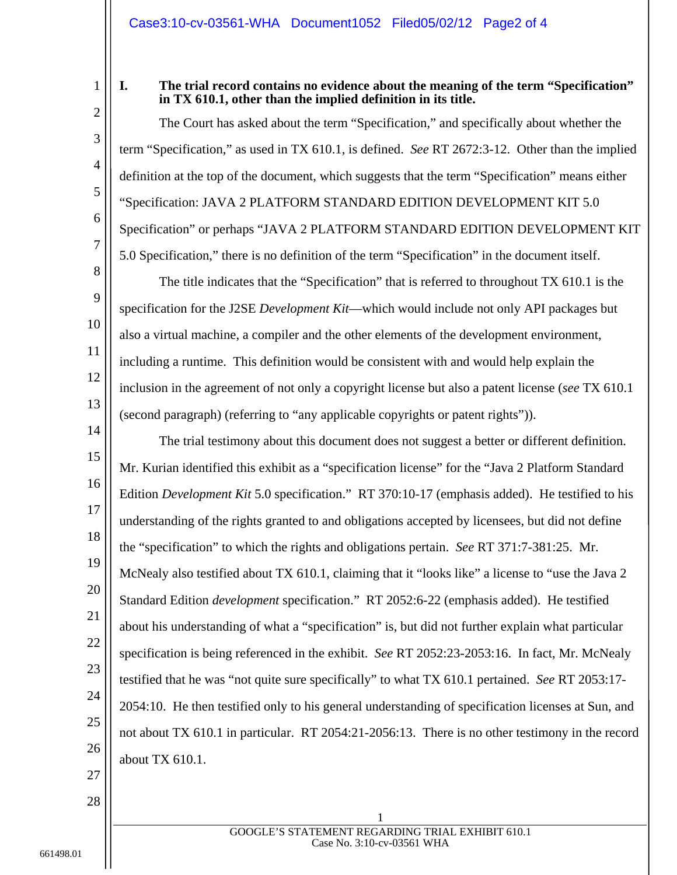1 2

3

4

5

6

7

8

9

10

11

12

13

## **I. The trial record contains no evidence about the meaning of the term "Specification" in TX 610.1, other than the implied definition in its title.**

The Court has asked about the term "Specification," and specifically about whether the term "Specification," as used in TX 610.1, is defined. *See* RT 2672:3-12. Other than the implied definition at the top of the document, which suggests that the term "Specification" means either "Specification: JAVA 2 PLATFORM STANDARD EDITION DEVELOPMENT KIT 5.0 Specification" or perhaps "JAVA 2 PLATFORM STANDARD EDITION DEVELOPMENT KIT 5.0 Specification," there is no definition of the term "Specification" in the document itself.

The title indicates that the "Specification" that is referred to throughout TX 610.1 is the specification for the J2SE *Development Kit*—which would include not only API packages but also a virtual machine, a compiler and the other elements of the development environment, including a runtime. This definition would be consistent with and would help explain the inclusion in the agreement of not only a copyright license but also a patent license (*see* TX 610.1 (second paragraph) (referring to "any applicable copyrights or patent rights")).

14 15 16 17 18 19 20 21 22 23 24 25 26 The trial testimony about this document does not suggest a better or different definition. Mr. Kurian identified this exhibit as a "specification license" for the "Java 2 Platform Standard Edition *Development Kit* 5.0 specification." RT 370:10-17 (emphasis added). He testified to his understanding of the rights granted to and obligations accepted by licensees, but did not define the "specification" to which the rights and obligations pertain. *See* RT 371:7-381:25. Mr. McNealy also testified about TX 610.1, claiming that it "looks like" a license to "use the Java 2 Standard Edition *development* specification." RT 2052:6-22 (emphasis added). He testified about his understanding of what a "specification" is, but did not further explain what particular specification is being referenced in the exhibit. *See* RT 2052:23-2053:16. In fact, Mr. McNealy testified that he was "not quite sure specifically" to what TX 610.1 pertained. *See* RT 2053:17- 2054:10. He then testified only to his general understanding of specification licenses at Sun, and not about TX 610.1 in particular. RT 2054:21-2056:13. There is no other testimony in the record about TX 610.1.

27

28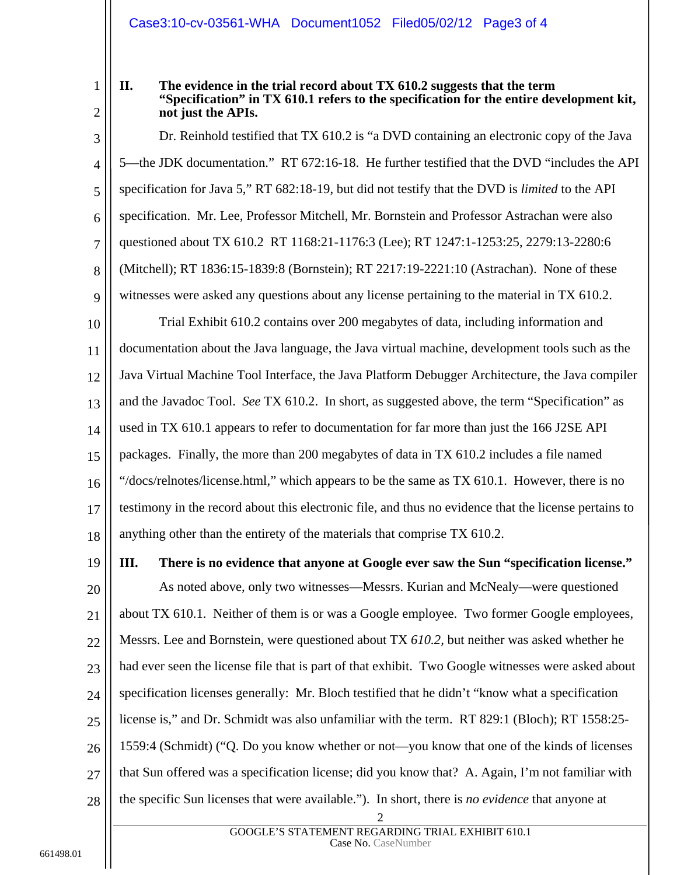## Case3:10-cv-03561-WHA Document1052 Filed05/02/12 Page3 of 4

1

2

## **II. The evidence in the trial record about TX 610.2 suggests that the term "Specification" in TX 610.1 refers to the specification for the entire development kit, not just the APIs.**

3 4 5 6 7 8 9 Dr. Reinhold testified that TX 610.2 is "a DVD containing an electronic copy of the Java 5—the JDK documentation." RT 672:16-18. He further testified that the DVD "includes the API specification for Java 5," RT 682:18-19, but did not testify that the DVD is *limited* to the API specification. Mr. Lee, Professor Mitchell, Mr. Bornstein and Professor Astrachan were also questioned about TX 610.2 RT 1168:21-1176:3 (Lee); RT 1247:1-1253:25, 2279:13-2280:6 (Mitchell); RT 1836:15-1839:8 (Bornstein); RT 2217:19-2221:10 (Astrachan). None of these witnesses were asked any questions about any license pertaining to the material in TX 610.2.

10 11 12 13 14 15 16 17 18 Trial Exhibit 610.2 contains over 200 megabytes of data, including information and documentation about the Java language, the Java virtual machine, development tools such as the Java Virtual Machine Tool Interface, the Java Platform Debugger Architecture, the Java compiler and the Javadoc Tool. *See* TX 610.2. In short, as suggested above, the term "Specification" as used in TX 610.1 appears to refer to documentation for far more than just the 166 J2SE API packages. Finally, the more than 200 megabytes of data in TX 610.2 includes a file named "/docs/relnotes/license.html," which appears to be the same as TX 610.1. However, there is no testimony in the record about this electronic file, and thus no evidence that the license pertains to anything other than the entirety of the materials that comprise TX 610.2.

19

**III. There is no evidence that anyone at Google ever saw the Sun "specification license."** 

20 21 22 23 24 25 26 27 28 As noted above, only two witnesses—Messrs. Kurian and McNealy—were questioned about TX 610.1. Neither of them is or was a Google employee. Two former Google employees, Messrs. Lee and Bornstein, were questioned about TX *610.2,* but neither was asked whether he had ever seen the license file that is part of that exhibit. Two Google witnesses were asked about specification licenses generally: Mr. Bloch testified that he didn't "know what a specification license is," and Dr. Schmidt was also unfamiliar with the term. RT 829:1 (Bloch); RT 1558:25- 1559:4 (Schmidt) ("Q. Do you know whether or not—you know that one of the kinds of licenses that Sun offered was a specification license; did you know that? A. Again, I'm not familiar with the specific Sun licenses that were available."). In short, there is *no evidence* that anyone at